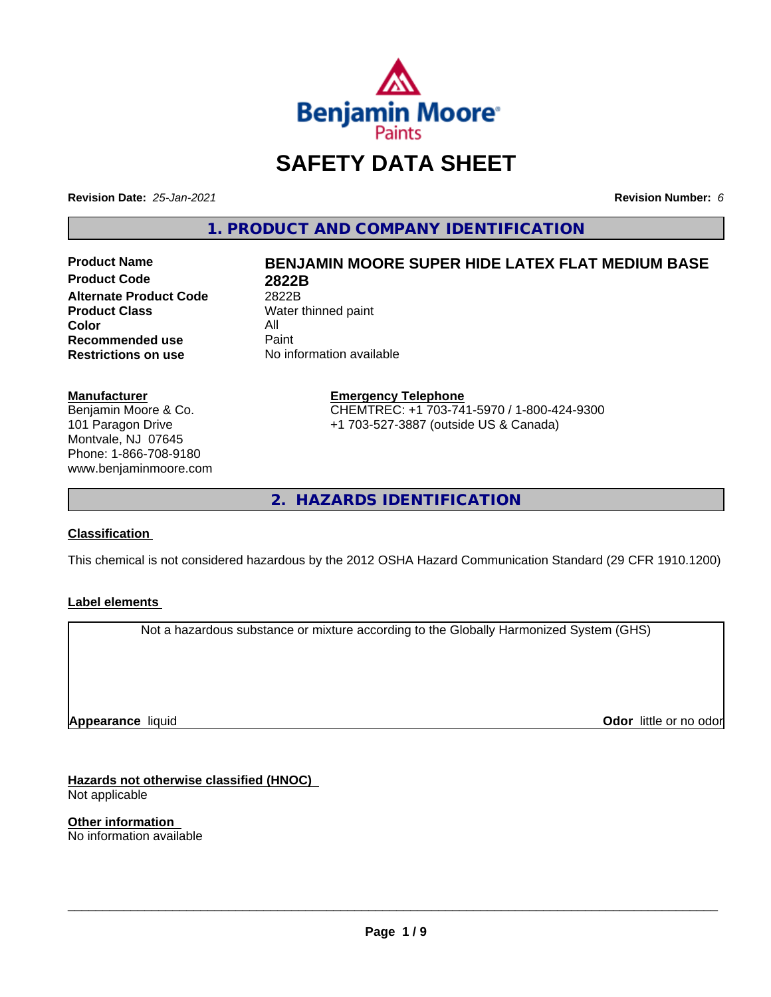

# **SAFETY DATA SHEET**

**Revision Date:** *25-Jan-2021* **Revision Number:** *6*

**1. PRODUCT AND COMPANY IDENTIFICATION**

**Product Code 2822B Alternate Product Code** 2822B<br> **Product Class** Water **Color** All<br> **Recommended use** Paint **Recommended use**<br>Restrictions on use

# **Product Name BENJAMIN MOORE SUPER HIDE LATEX FLAT MEDIUM BASE**

**Water thinned paint No information available** 

#### **Manufacturer**

Benjamin Moore & Co. 101 Paragon Drive Montvale, NJ 07645 Phone: 1-866-708-9180 www.benjaminmoore.com

# **Emergency Telephone** CHEMTREC: +1 703-741-5970 / 1-800-424-9300

+1 703-527-3887 (outside US & Canada)

**2. HAZARDS IDENTIFICATION**

# **Classification**

This chemical is not considered hazardous by the 2012 OSHA Hazard Communication Standard (29 CFR 1910.1200)

# **Label elements**

Not a hazardous substance or mixture according to the Globally Harmonized System (GHS)

**Appearance** liquid

**Odor** little or no odor

**Hazards not otherwise classified (HNOC)** Not applicable

**Other information** No information available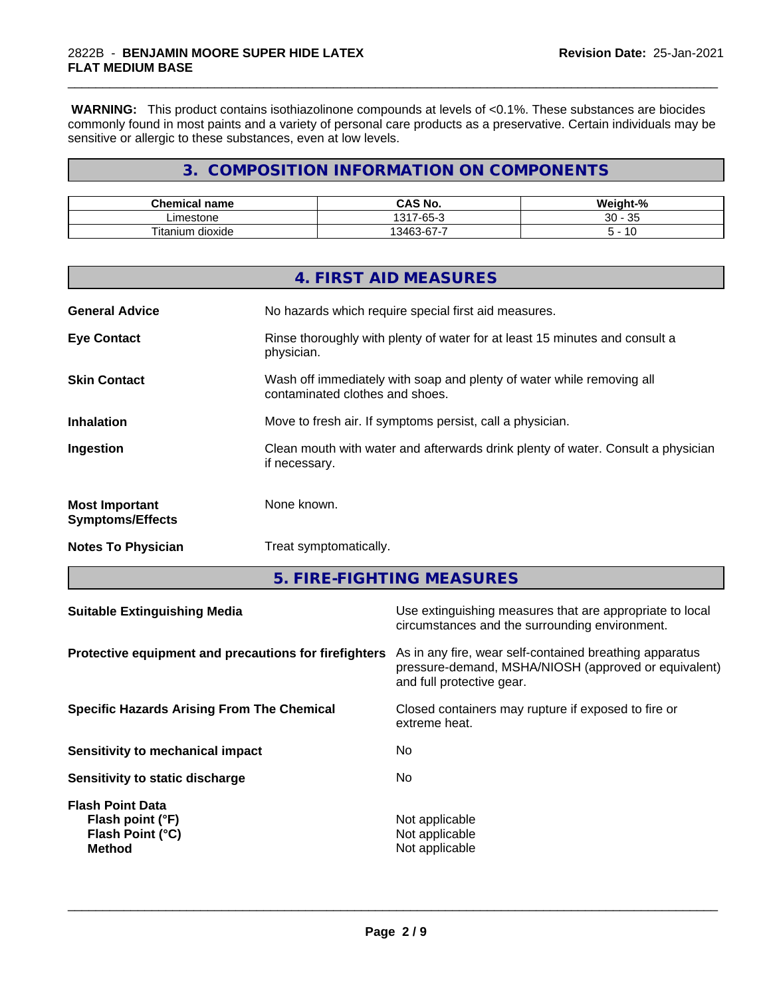**WARNING:** This product contains isothiazolinone compounds at levels of <0.1%. These substances are biocides commonly found in most paints and a variety of personal care products as a preservative. Certain individuals may be sensitive or allergic to these substances, even at low levels.

\_\_\_\_\_\_\_\_\_\_\_\_\_\_\_\_\_\_\_\_\_\_\_\_\_\_\_\_\_\_\_\_\_\_\_\_\_\_\_\_\_\_\_\_\_\_\_\_\_\_\_\_\_\_\_\_\_\_\_\_\_\_\_\_\_\_\_\_\_\_\_\_\_\_\_\_\_\_\_\_\_\_\_\_\_\_\_\_\_\_\_\_\_

# **3. COMPOSITION INFORMATION ON COMPONENTS**

| <b>Chemical name</b>           | O NU<br>r۸<br>CAS No.                                   | <br>$\sim$<br>- 70       |
|--------------------------------|---------------------------------------------------------|--------------------------|
| .imestone<br>---               | $\sim$<br>1317<br>$\overline{\phantom{a}}$<br>-65-<br>. | $\sim$<br>20<br>ັບ<br>v. |
| Titaniu.<br><br>dioxide<br>յստ | 0.100<br>$\sim$<br>--<br>$.34+$<br>ັ                    | 10                       |

|                                                  | 4. FIRST AID MEASURES                                                                                    |
|--------------------------------------------------|----------------------------------------------------------------------------------------------------------|
| <b>General Advice</b>                            | No hazards which require special first aid measures.                                                     |
| <b>Eye Contact</b>                               | Rinse thoroughly with plenty of water for at least 15 minutes and consult a<br>physician.                |
| <b>Skin Contact</b>                              | Wash off immediately with soap and plenty of water while removing all<br>contaminated clothes and shoes. |
| <b>Inhalation</b>                                | Move to fresh air. If symptoms persist, call a physician.                                                |
| Ingestion                                        | Clean mouth with water and afterwards drink plenty of water. Consult a physician<br>if necessary.        |
| <b>Most Important</b><br><b>Symptoms/Effects</b> | None known.                                                                                              |
| <b>Notes To Physician</b>                        | Treat symptomatically.                                                                                   |

**5. FIRE-FIGHTING MEASURES**

| Protective equipment and precautions for firefighters<br>As in any fire, wear self-contained breathing apparatus<br>pressure-demand, MSHA/NIOSH (approved or equivalent) |  |
|--------------------------------------------------------------------------------------------------------------------------------------------------------------------------|--|
| and full protective gear.                                                                                                                                                |  |
| Closed containers may rupture if exposed to fire or<br><b>Specific Hazards Arising From The Chemical</b><br>extreme heat.                                                |  |
| No.<br>Sensitivity to mechanical impact                                                                                                                                  |  |
| No.<br>Sensitivity to static discharge                                                                                                                                   |  |
| <b>Flash Point Data</b><br>Not applicable<br>Flash point (°F)<br>Flash Point (°C)<br>Not applicable<br>Not applicable<br><b>Method</b>                                   |  |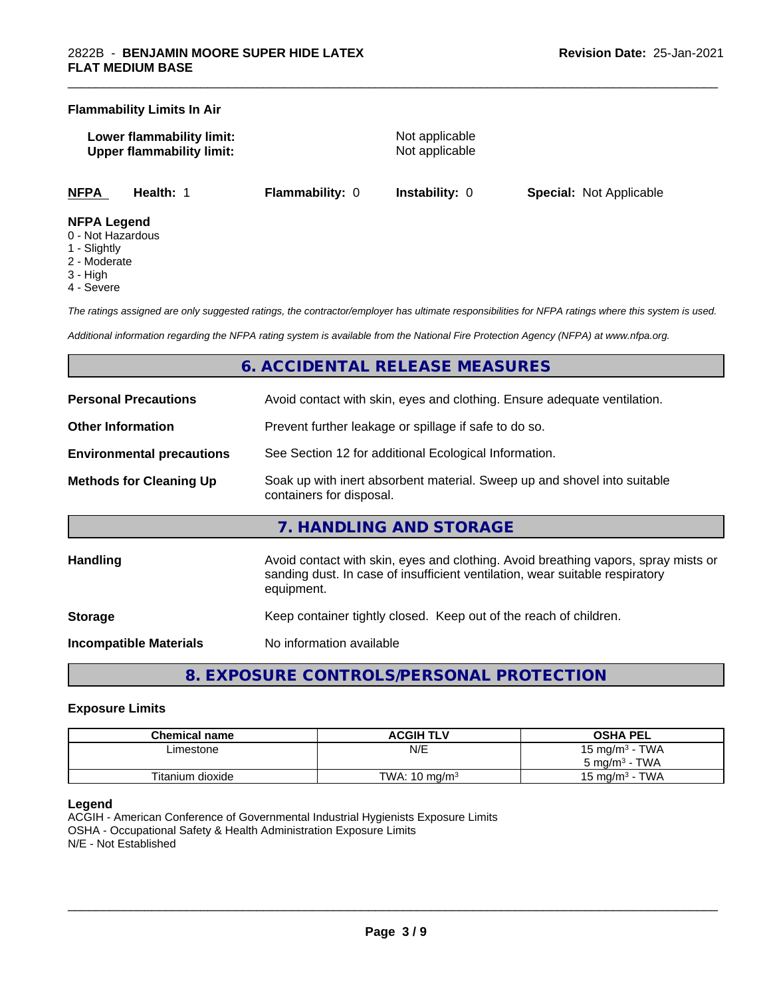#### **Flammability Limits In Air**

**Lower flammability limit:** Not applicable **Upper flammability limit:** Not applicable

\_\_\_\_\_\_\_\_\_\_\_\_\_\_\_\_\_\_\_\_\_\_\_\_\_\_\_\_\_\_\_\_\_\_\_\_\_\_\_\_\_\_\_\_\_\_\_\_\_\_\_\_\_\_\_\_\_\_\_\_\_\_\_\_\_\_\_\_\_\_\_\_\_\_\_\_\_\_\_\_\_\_\_\_\_\_\_\_\_\_\_\_\_

**NFPA Health:** 1 **Flammability:** 0 **Instability:** 0 **Special:** Not Applicable

#### **NFPA Legend**

- 0 Not Hazardous
- 1 Slightly
- 2 Moderate
- 3 High
- 4 Severe

*The ratings assigned are only suggested ratings, the contractor/employer has ultimate responsibilities for NFPA ratings where this system is used.*

*Additional information regarding the NFPA rating system is available from the National Fire Protection Agency (NFPA) at www.nfpa.org.*

# **6. ACCIDENTAL RELEASE MEASURES**

| <b>Personal Precautions</b>      | Avoid contact with skin, eyes and clothing. Ensure adequate ventilation.                                                                                                         |  |  |
|----------------------------------|----------------------------------------------------------------------------------------------------------------------------------------------------------------------------------|--|--|
| <b>Other Information</b>         | Prevent further leakage or spillage if safe to do so.                                                                                                                            |  |  |
| <b>Environmental precautions</b> | See Section 12 for additional Ecological Information.                                                                                                                            |  |  |
| <b>Methods for Cleaning Up</b>   | Soak up with inert absorbent material. Sweep up and shovel into suitable<br>containers for disposal.                                                                             |  |  |
|                                  | 7. HANDLING AND STORAGE                                                                                                                                                          |  |  |
| <b>Handling</b>                  | Avoid contact with skin, eyes and clothing. Avoid breathing vapors, spray mists or<br>sanding dust. In case of insufficient ventilation, wear suitable respiratory<br>equipment. |  |  |
| <b>Storage</b>                   | Keep container tightly closed. Keep out of the reach of children.                                                                                                                |  |  |
| <b>Incompatible Materials</b>    | No information available                                                                                                                                                         |  |  |

# **8. EXPOSURE CONTROLS/PERSONAL PROTECTION**

#### **Exposure Limits**

| <b>Chemical name</b> | <b>ACGIH TLV</b>         | <b>OSHA PEL</b>                            |
|----------------------|--------------------------|--------------------------------------------|
| Limestone            | N/E                      | TWA<br>15 mg/m <sup>3</sup> -              |
|                      |                          | TWA<br>ა mg/m <sup>3</sup>                 |
| Titanium dioxide     | TWA: $10 \text{ ma/m}^3$ | <b>TWA</b><br>15 mg/m <sup>3</sup> $\cdot$ |

#### **Legend**

ACGIH - American Conference of Governmental Industrial Hygienists Exposure Limits OSHA - Occupational Safety & Health Administration Exposure Limits N/E - Not Established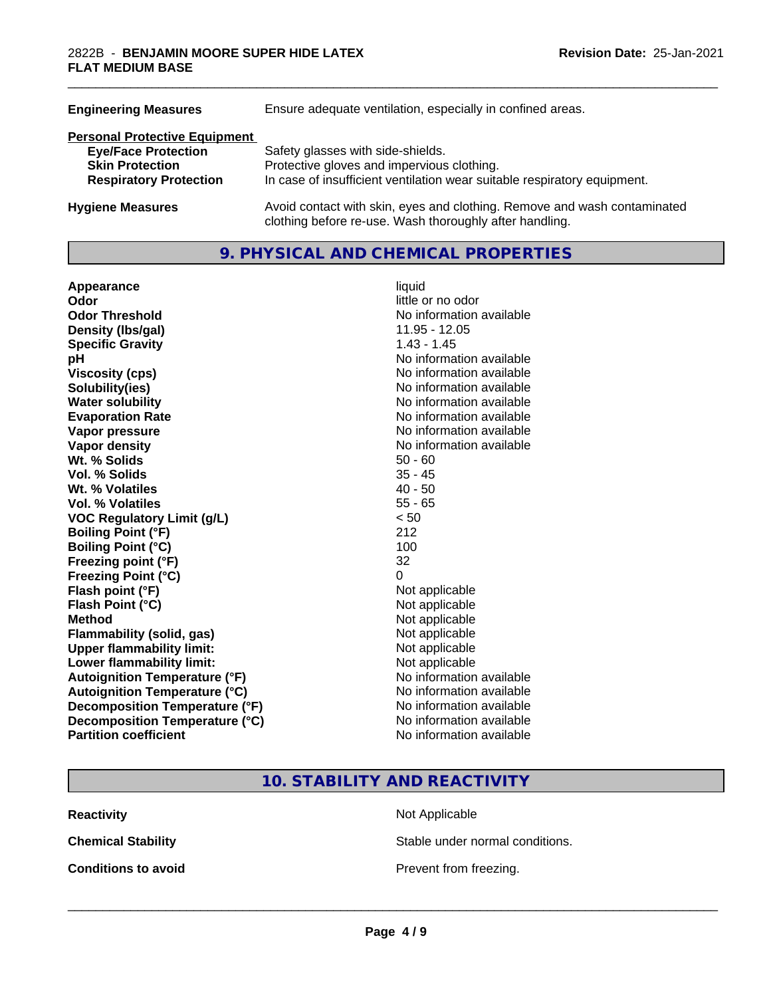| <b>Engineering Measures</b>          | Ensure adequate ventilation, especially in confined areas.                                                                          |  |  |
|--------------------------------------|-------------------------------------------------------------------------------------------------------------------------------------|--|--|
| <b>Personal Protective Equipment</b> |                                                                                                                                     |  |  |
| <b>Eye/Face Protection</b>           | Safety glasses with side-shields.                                                                                                   |  |  |
| <b>Skin Protection</b>               | Protective gloves and impervious clothing.                                                                                          |  |  |
| <b>Respiratory Protection</b>        | In case of insufficient ventilation wear suitable respiratory equipment.                                                            |  |  |
| <b>Hygiene Measures</b>              | Avoid contact with skin, eyes and clothing. Remove and wash contaminated<br>clothing before re-use. Wash thoroughly after handling. |  |  |

# **9. PHYSICAL AND CHEMICAL PROPERTIES**

| Appearance                           | liquid                   |
|--------------------------------------|--------------------------|
| Odor                                 | little or no odor        |
| <b>Odor Threshold</b>                | No information available |
| Density (Ibs/gal)                    | 11.95 - 12.05            |
| <b>Specific Gravity</b>              | $1.43 - 1.45$            |
| рH                                   | No information available |
| <b>Viscosity (cps)</b>               | No information available |
| Solubility(ies)                      | No information available |
| <b>Water solubility</b>              | No information available |
| <b>Evaporation Rate</b>              | No information available |
| Vapor pressure                       | No information available |
| Vapor density                        | No information available |
| Wt. % Solids                         | $50 - 60$                |
| Vol. % Solids                        | $35 - 45$                |
| Wt. % Volatiles                      | $40 - 50$                |
| Vol. % Volatiles                     | $55 - 65$                |
| <b>VOC Regulatory Limit (g/L)</b>    | < 50                     |
| <b>Boiling Point (°F)</b>            | 212                      |
| <b>Boiling Point (°C)</b>            | 100                      |
| Freezing point (°F)                  | 32                       |
| <b>Freezing Point (°C)</b>           | 0                        |
| Flash point (°F)                     | Not applicable           |
| Flash Point (°C)                     | Not applicable           |
| <b>Method</b>                        | Not applicable           |
| <b>Flammability (solid, gas)</b>     | Not applicable           |
| <b>Upper flammability limit:</b>     | Not applicable           |
| Lower flammability limit:            | Not applicable           |
| <b>Autoignition Temperature (°F)</b> | No information available |
| <b>Autoignition Temperature (°C)</b> | No information available |
| Decomposition Temperature (°F)       | No information available |
| Decomposition Temperature (°C)       | No information available |
| <b>Partition coefficient</b>         | No information available |

\_\_\_\_\_\_\_\_\_\_\_\_\_\_\_\_\_\_\_\_\_\_\_\_\_\_\_\_\_\_\_\_\_\_\_\_\_\_\_\_\_\_\_\_\_\_\_\_\_\_\_\_\_\_\_\_\_\_\_\_\_\_\_\_\_\_\_\_\_\_\_\_\_\_\_\_\_\_\_\_\_\_\_\_\_\_\_\_\_\_\_\_\_

**10. STABILITY AND REACTIVITY**

**Reactivity** Not Applicable

**Chemical Stability Stable under normal conditions.** 

**Conditions to avoid Conditions to avoid Prevent from freezing.**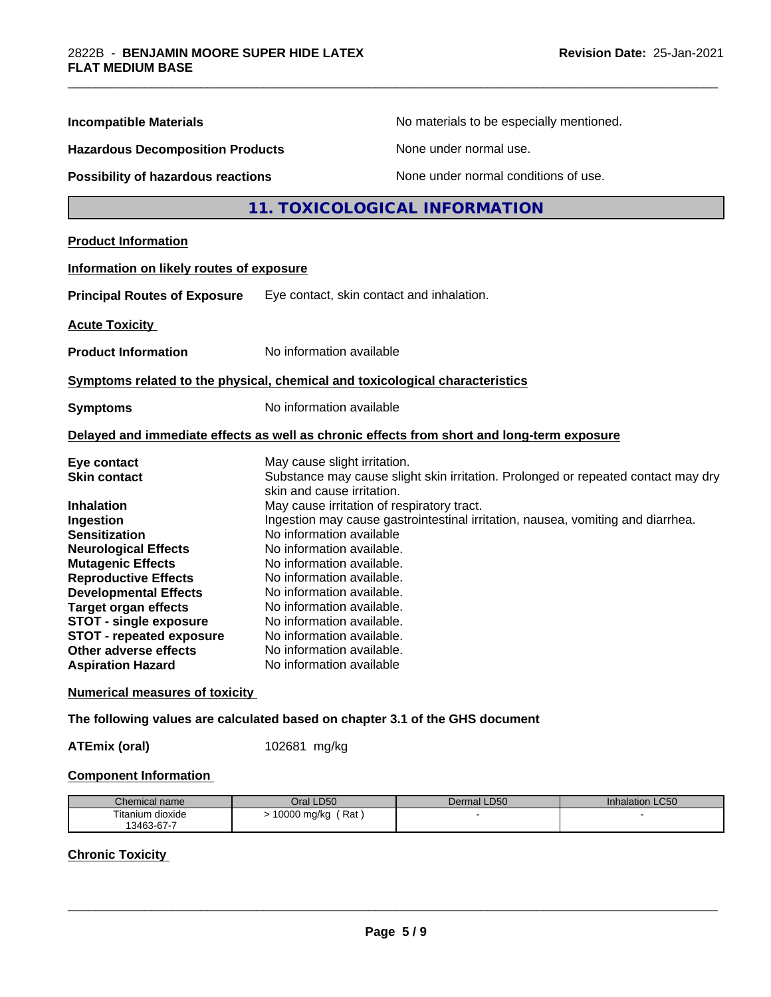| <b>Incompatible Materials</b>                                                                                                                                                                                                                                                                                              |                                                                                                                                                                                                                                                                                              | No materials to be especially mentioned.                                                   |  |
|----------------------------------------------------------------------------------------------------------------------------------------------------------------------------------------------------------------------------------------------------------------------------------------------------------------------------|----------------------------------------------------------------------------------------------------------------------------------------------------------------------------------------------------------------------------------------------------------------------------------------------|--------------------------------------------------------------------------------------------|--|
| <b>Hazardous Decomposition Products</b><br><b>Possibility of hazardous reactions</b>                                                                                                                                                                                                                                       |                                                                                                                                                                                                                                                                                              | None under normal use.                                                                     |  |
|                                                                                                                                                                                                                                                                                                                            |                                                                                                                                                                                                                                                                                              | None under normal conditions of use.                                                       |  |
|                                                                                                                                                                                                                                                                                                                            |                                                                                                                                                                                                                                                                                              | 11. TOXICOLOGICAL INFORMATION                                                              |  |
| <b>Product Information</b>                                                                                                                                                                                                                                                                                                 |                                                                                                                                                                                                                                                                                              |                                                                                            |  |
| Information on likely routes of exposure                                                                                                                                                                                                                                                                                   |                                                                                                                                                                                                                                                                                              |                                                                                            |  |
| <b>Principal Routes of Exposure</b><br>Eye contact, skin contact and inhalation.                                                                                                                                                                                                                                           |                                                                                                                                                                                                                                                                                              |                                                                                            |  |
| <b>Acute Toxicity</b>                                                                                                                                                                                                                                                                                                      |                                                                                                                                                                                                                                                                                              |                                                                                            |  |
| No information available<br><b>Product Information</b>                                                                                                                                                                                                                                                                     |                                                                                                                                                                                                                                                                                              |                                                                                            |  |
| Symptoms related to the physical, chemical and toxicological characteristics                                                                                                                                                                                                                                               |                                                                                                                                                                                                                                                                                              |                                                                                            |  |
| No information available<br><b>Symptoms</b>                                                                                                                                                                                                                                                                                |                                                                                                                                                                                                                                                                                              |                                                                                            |  |
|                                                                                                                                                                                                                                                                                                                            |                                                                                                                                                                                                                                                                                              | Delayed and immediate effects as well as chronic effects from short and long-term exposure |  |
| Eye contact<br><b>Skin contact</b><br><b>Inhalation</b>                                                                                                                                                                                                                                                                    | May cause slight irritation.<br>skin and cause irritation.<br>May cause irritation of respiratory tract.                                                                                                                                                                                     | Substance may cause slight skin irritation. Prolonged or repeated contact may dry          |  |
| Ingestion<br><b>Sensitization</b><br><b>Neurological Effects</b><br><b>Mutagenic Effects</b><br><b>Reproductive Effects</b><br><b>Developmental Effects</b><br><b>Target organ effects</b><br><b>STOT - single exposure</b><br><b>STOT - repeated exposure</b><br><b>Other adverse effects</b><br><b>Aspiration Hazard</b> | No information available<br>No information available.<br>No information available.<br>No information available.<br>No information available.<br>No information available.<br>No information available.<br>No information available.<br>No information available.<br>No information available | Ingestion may cause gastrointestinal irritation, nausea, vomiting and diarrhea.            |  |
|                                                                                                                                                                                                                                                                                                                            |                                                                                                                                                                                                                                                                                              |                                                                                            |  |

\_\_\_\_\_\_\_\_\_\_\_\_\_\_\_\_\_\_\_\_\_\_\_\_\_\_\_\_\_\_\_\_\_\_\_\_\_\_\_\_\_\_\_\_\_\_\_\_\_\_\_\_\_\_\_\_\_\_\_\_\_\_\_\_\_\_\_\_\_\_\_\_\_\_\_\_\_\_\_\_\_\_\_\_\_\_\_\_\_\_\_\_\_

# **Numerical measures of toxicity**

**The following values are calculated based on chapter 3.1 of the GHS document**

**ATEmix (oral)** 102681 mg/kg

# **Component Information**

| Chemical name    | Oral LD50          | Dermal LD50 | Inhalation LC50 |
|------------------|--------------------|-------------|-----------------|
| Titanium dioxide | Rat<br>10000 mg/kg |             |                 |
| 13463-67-7       |                    |             |                 |

# **Chronic Toxicity**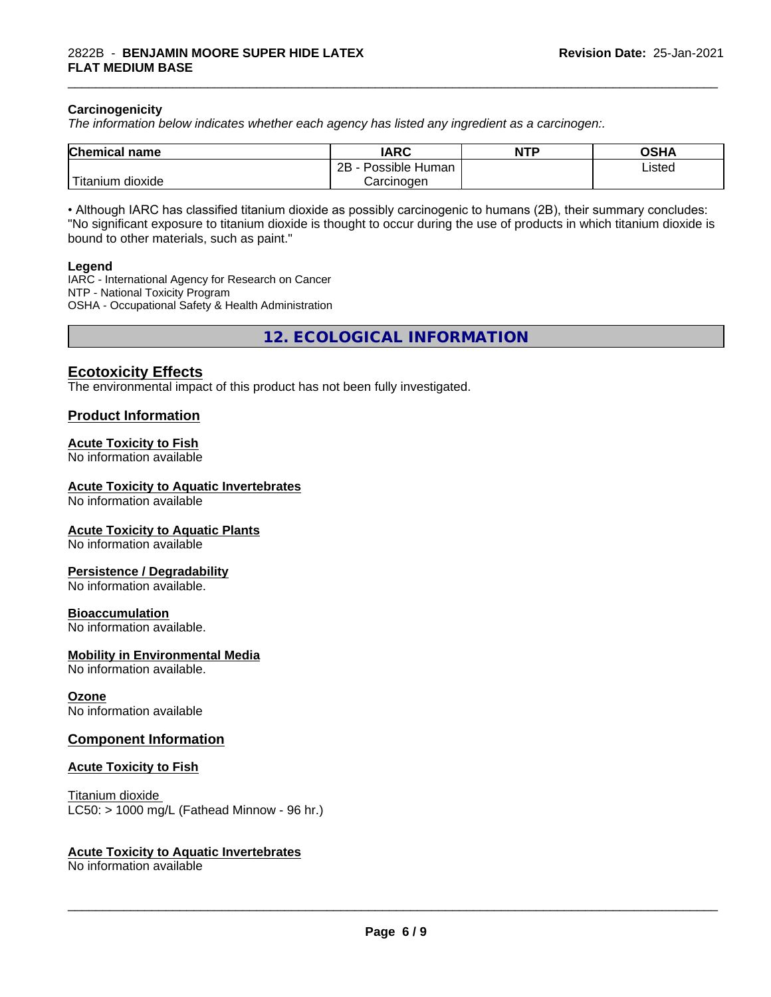#### **Carcinogenicity**

*The information below indicateswhether each agency has listed any ingredient as a carcinogen:.*

| <b>Chemical</b><br>name  | <b>IARC</b>                    | <b>NTP</b> | ດເ⊔າ<br>שטש |
|--------------------------|--------------------------------|------------|-------------|
|                          | .<br>2B<br>: Human<br>Possible |            | Listed      |
| $-1$<br>litanium dioxide | Carcinoɑen                     |            |             |

\_\_\_\_\_\_\_\_\_\_\_\_\_\_\_\_\_\_\_\_\_\_\_\_\_\_\_\_\_\_\_\_\_\_\_\_\_\_\_\_\_\_\_\_\_\_\_\_\_\_\_\_\_\_\_\_\_\_\_\_\_\_\_\_\_\_\_\_\_\_\_\_\_\_\_\_\_\_\_\_\_\_\_\_\_\_\_\_\_\_\_\_\_

• Although IARC has classified titanium dioxide as possibly carcinogenic to humans (2B), their summary concludes: "No significant exposure to titanium dioxide is thought to occur during the use of products in which titanium dioxide is bound to other materials, such as paint."

#### **Legend**

IARC - International Agency for Research on Cancer NTP - National Toxicity Program OSHA - Occupational Safety & Health Administration

**12. ECOLOGICAL INFORMATION**

# **Ecotoxicity Effects**

The environmental impact of this product has not been fully investigated.

#### **Product Information**

#### **Acute Toxicity to Fish**

No information available

#### **Acute Toxicity to Aquatic Invertebrates**

No information available

#### **Acute Toxicity to Aquatic Plants**

No information available

#### **Persistence / Degradability**

No information available.

#### **Bioaccumulation**

No information available.

#### **Mobility in Environmental Media**

No information available.

#### **Ozone**

No information available

#### **Component Information**

#### **Acute Toxicity to Fish**

Titanium dioxide  $LC50:$  > 1000 mg/L (Fathead Minnow - 96 hr.)

#### **Acute Toxicity to Aquatic Invertebrates**

No information available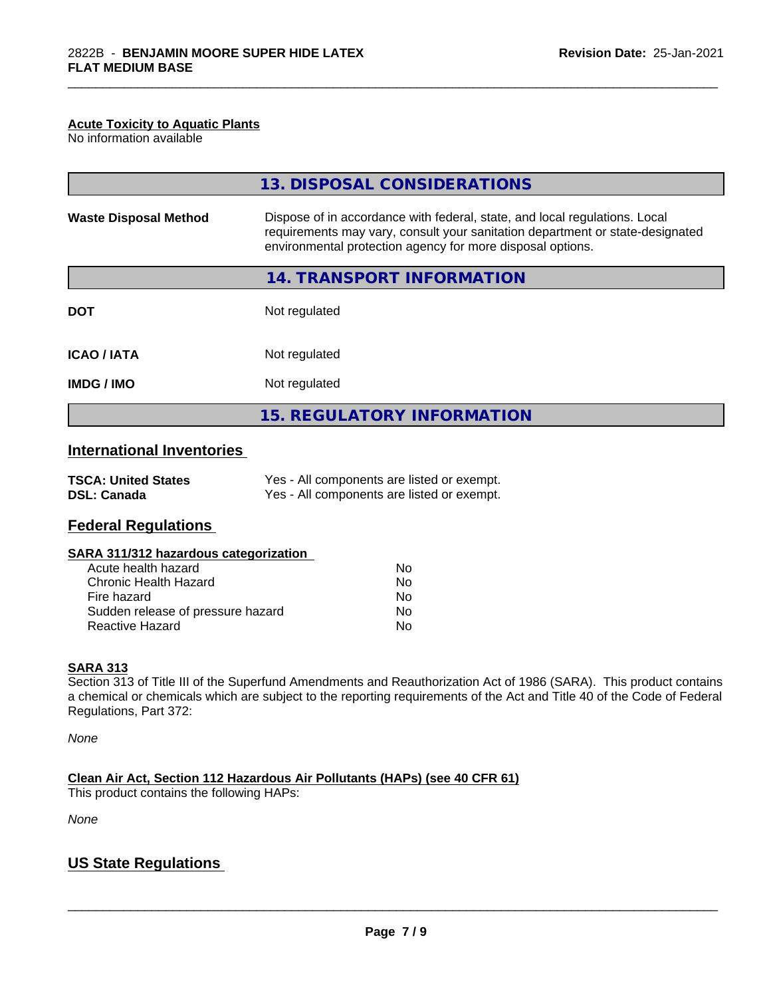#### **Acute Toxicity to Aquatic Plants**

No information available

| 13. DISPOSAL CONSIDERATIONS                                                                                                                                                                                               |
|---------------------------------------------------------------------------------------------------------------------------------------------------------------------------------------------------------------------------|
| Dispose of in accordance with federal, state, and local regulations. Local<br>requirements may vary, consult your sanitation department or state-designated<br>environmental protection agency for more disposal options. |
| 14. TRANSPORT INFORMATION                                                                                                                                                                                                 |
| Not regulated                                                                                                                                                                                                             |
| Not regulated                                                                                                                                                                                                             |
| Not regulated                                                                                                                                                                                                             |
| <b>15. REGULATORY INFORMATION</b>                                                                                                                                                                                         |
|                                                                                                                                                                                                                           |

\_\_\_\_\_\_\_\_\_\_\_\_\_\_\_\_\_\_\_\_\_\_\_\_\_\_\_\_\_\_\_\_\_\_\_\_\_\_\_\_\_\_\_\_\_\_\_\_\_\_\_\_\_\_\_\_\_\_\_\_\_\_\_\_\_\_\_\_\_\_\_\_\_\_\_\_\_\_\_\_\_\_\_\_\_\_\_\_\_\_\_\_\_

# **International Inventories**

| <b>TSCA: United States</b> | Yes - All components are listed or exempt. |
|----------------------------|--------------------------------------------|
| <b>DSL: Canada</b>         | Yes - All components are listed or exempt. |

# **Federal Regulations**

#### **SARA 311/312 hazardous categorization**

| Acute health hazard               | No |
|-----------------------------------|----|
| Chronic Health Hazard             | No |
| Fire hazard                       | Nο |
| Sudden release of pressure hazard | Nο |
| Reactive Hazard                   | Nο |

#### **SARA 313**

Section 313 of Title III of the Superfund Amendments and Reauthorization Act of 1986 (SARA). This product contains a chemical or chemicals which are subject to the reporting requirements of the Act and Title 40 of the Code of Federal Regulations, Part 372:

*None*

**Clean Air Act,Section 112 Hazardous Air Pollutants (HAPs) (see 40 CFR 61)**

This product contains the following HAPs:

*None*

# **US State Regulations**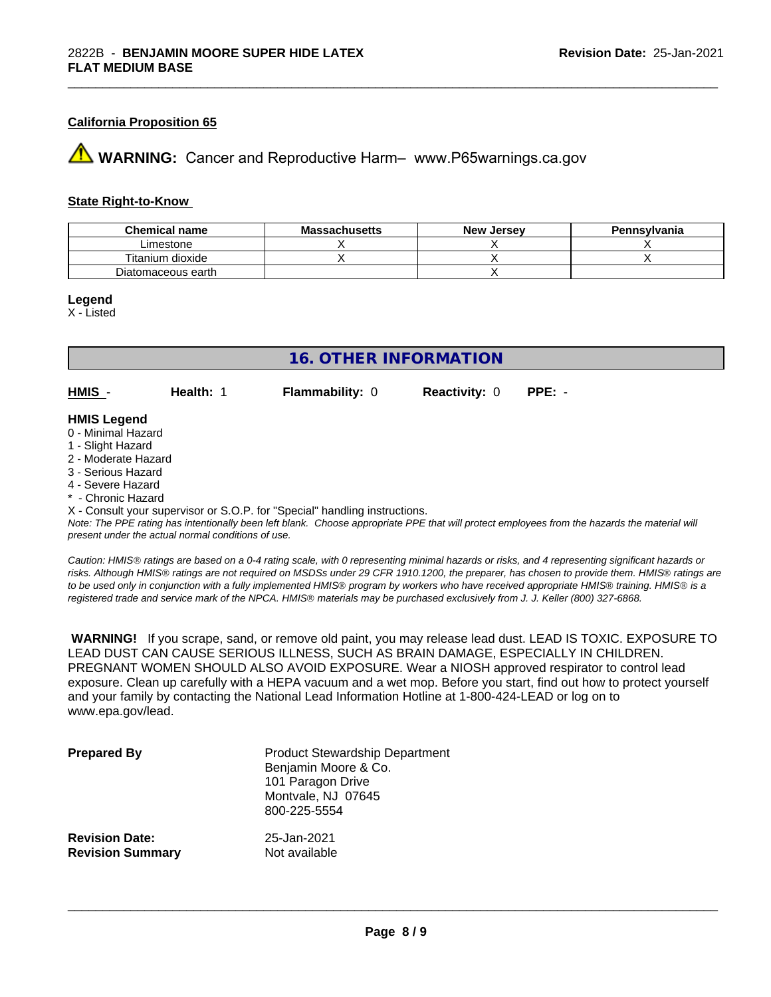# **California Proposition 65**

**AVIMARNING:** Cancer and Reproductive Harm– www.P65warnings.ca.gov

#### **State Right-to-Know**

| <b>Chemical name</b> | <b>Massachusetts</b> | <b>New Jersey</b> | Pennsylvania |
|----------------------|----------------------|-------------------|--------------|
| Limestone            |                      |                   |              |
| Titanium dioxide     |                      |                   |              |
| Diatomaceous earth   |                      |                   |              |

\_\_\_\_\_\_\_\_\_\_\_\_\_\_\_\_\_\_\_\_\_\_\_\_\_\_\_\_\_\_\_\_\_\_\_\_\_\_\_\_\_\_\_\_\_\_\_\_\_\_\_\_\_\_\_\_\_\_\_\_\_\_\_\_\_\_\_\_\_\_\_\_\_\_\_\_\_\_\_\_\_\_\_\_\_\_\_\_\_\_\_\_\_

#### **Legend**

X - Listed

# **16. OTHER INFORMATION**

**HMIS** - **Health:** 1 **Flammability:** 0 **Reactivity:** 0 **PPE:** -

#### **HMIS Legend**

- 0 Minimal Hazard
- 1 Slight Hazard
- 2 Moderate Hazard
- 3 Serious Hazard
- 4 Severe Hazard
- \* Chronic Hazard
- X Consult your supervisor or S.O.P. for "Special" handling instructions.

*Note: The PPE rating has intentionally been left blank. Choose appropriate PPE that will protect employees from the hazards the material will present under the actual normal conditions of use.*

*Caution: HMISÒ ratings are based on a 0-4 rating scale, with 0 representing minimal hazards or risks, and 4 representing significant hazards or risks. Although HMISÒ ratings are not required on MSDSs under 29 CFR 1910.1200, the preparer, has chosen to provide them. HMISÒ ratings are to be used only in conjunction with a fully implemented HMISÒ program by workers who have received appropriate HMISÒ training. HMISÒ is a registered trade and service mark of the NPCA. HMISÒ materials may be purchased exclusively from J. J. Keller (800) 327-6868.*

 **WARNING!** If you scrape, sand, or remove old paint, you may release lead dust. LEAD IS TOXIC. EXPOSURE TO LEAD DUST CAN CAUSE SERIOUS ILLNESS, SUCH AS BRAIN DAMAGE, ESPECIALLY IN CHILDREN. PREGNANT WOMEN SHOULD ALSO AVOID EXPOSURE.Wear a NIOSH approved respirator to control lead exposure. Clean up carefully with a HEPA vacuum and a wet mop. Before you start, find out how to protect yourself and your family by contacting the National Lead Information Hotline at 1-800-424-LEAD or log on to www.epa.gov/lead.

| <b>Prepared By</b>      | <b>Product Stewardship Department</b><br>Benjamin Moore & Co.<br>101 Paragon Drive<br>Montvale, NJ 07645<br>800-225-5554 |
|-------------------------|--------------------------------------------------------------------------------------------------------------------------|
| <b>Revision Date:</b>   | 25-Jan-2021                                                                                                              |
| <b>Revision Summary</b> | Not available                                                                                                            |